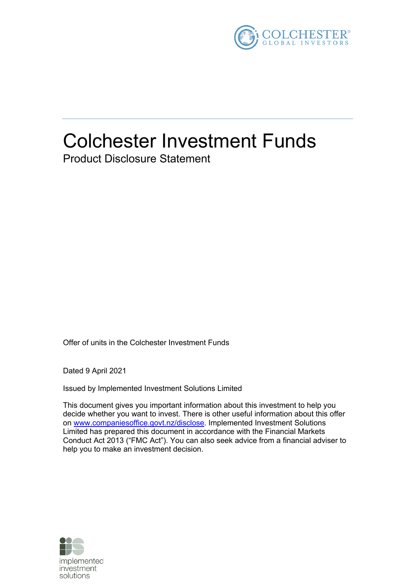

# Colchester Investment Funds Product Disclosure Statement

Offer of units in the Colchester Investment Funds

Dated 9 April 2021

Issued by Implemented Investment Solutions Limited

This document gives you important information about this investment to help you decide whether you want to invest. There is other useful information about this offer on www.companiesoffice.govt.nz/disclose. Implemented Investment Solutions Limited has prepared this document in accordance with the Financial Markets Conduct Act 2013 ("FMC Act"). You can also seek advice from a financial adviser to help you to make an investment decision.

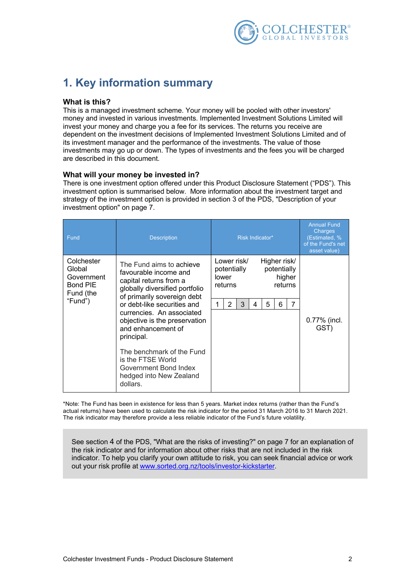

# **1. Key information summary**

### **What is this?**

This is a managed investment scheme. Your money will be pooled with other investors' money and invested in various investments. Implemented Investment Solutions Limited will invest your money and charge you a fee for its services. The returns you receive are dependent on the investment decisions of Implemented Investment Solutions Limited and of its investment manager and the performance of the investments. The value of those investments may go up or down. The types of investments and the fees you will be charged are described in this document.

### **What will your money be invested in?**

There is one investment option offered under this Product Disclosure Statement ("PDS"). This investment option is summarised below. More information about the investment target and strategy of the investment option is provided in section 3 of the PDS, "Description of your investment option" on page 7.

| <b>Description</b>                                                                                                                                                                                       | Risk Indicator*                                                                                                                       | Charges<br>(Estimated, %<br>of the Fund's net<br>asset value) |
|----------------------------------------------------------------------------------------------------------------------------------------------------------------------------------------------------------|---------------------------------------------------------------------------------------------------------------------------------------|---------------------------------------------------------------|
| The Fund aims to achieve<br>favourable income and<br>capital returns from a<br>globally diversified portfolio<br>of primarily sovereign debt<br>or debt-like securities and<br>currencies. An associated | Lower risk/<br>Higher risk/<br>potentially<br>potentially<br>higher<br>lower<br>returns<br>returns<br>7<br>2<br>5<br>3<br>6<br>1<br>4 | 0.77% (incl.                                                  |
| and enhancement of<br>principal.<br>The benchmark of the Fund<br>is the FTSE World<br>Government Bond Index<br>hedged into New Zealand                                                                   |                                                                                                                                       | GST)                                                          |
|                                                                                                                                                                                                          | objective is the preservation<br>dollars.                                                                                             |                                                               |

\*Note: The Fund has been in existence for less than 5 years. Market index returns (rather than the Fund's actual returns) have been used to calculate the risk indicator for the period 31 March 2016 to 31 March 2021. The risk indicator may therefore provide a less reliable indicator of the Fund's future volatility.

See section 4 of the PDS, "What are the risks of investing?" on page 7 for an explanation of the risk indicator and for information about other risks that are not included in the risk indicator. To help you clarify your own attitude to risk, you can seek financial advice or work out your risk profile at www.sorted.org.nz/tools/investor-kickstarter.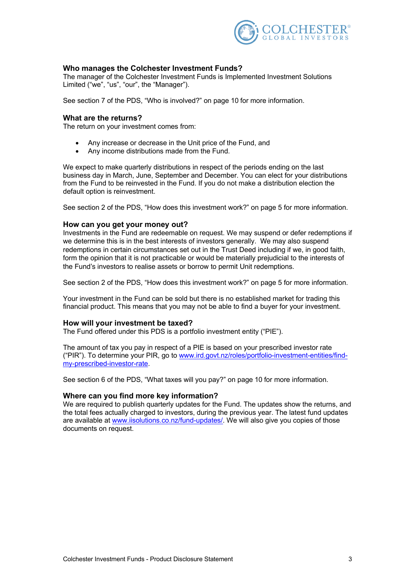

### **Who manages the Colchester Investment Funds?**

The manager of the Colchester Investment Funds is Implemented Investment Solutions Limited ("we", "us", "our", the "Manager").

See section 7 of the PDS, "Who is involved?" on page 10 for more information.

### **What are the returns?**

The return on your investment comes from:

- Any increase or decrease in the Unit price of the Fund, and
- Any income distributions made from the Fund.

We expect to make quarterly distributions in respect of the periods ending on the last business day in March, June, September and December. You can elect for your distributions from the Fund to be reinvested in the Fund. If you do not make a distribution election the default option is reinvestment.

See section 2 of the PDS, "How does this investment work?" on page 5 for more information.

### **How can you get your money out?**

Investments in the Fund are redeemable on request. We may suspend or defer redemptions if we determine this is in the best interests of investors generally. We may also suspend redemptions in certain circumstances set out in the Trust Deed including if we, in good faith, form the opinion that it is not practicable or would be materially prejudicial to the interests of the Fund's investors to realise assets or borrow to permit Unit redemptions.

See section 2 of the PDS, "How does this investment work?" on page 5 for more information.

Your investment in the Fund can be sold but there is no established market for trading this financial product. This means that you may not be able to find a buyer for your investment.

### **How will your investment be taxed?**

The Fund offered under this PDS is a portfolio investment entity ("PIE").

The amount of tax you pay in respect of a PIE is based on your prescribed investor rate ("PIR"). To determine your PIR, go to www.ird.govt.nz/roles/portfolio-investment-entities/findmy-prescribed-investor-rate.

See section 6 of the PDS, "What taxes will you pay?" on page 10 for more information.

### **Where can you find more key information?**

We are required to publish quarterly updates for the Fund. The updates show the returns, and the total fees actually charged to investors, during the previous year. The latest fund updates are available at www.iisolutions.co.nz/fund-updates/. We will also give you copies of those documents on request.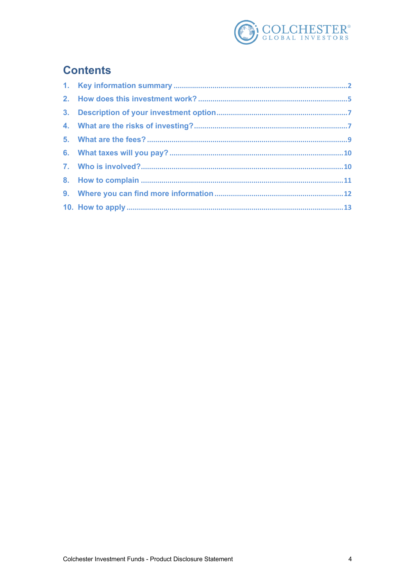

# **Contents**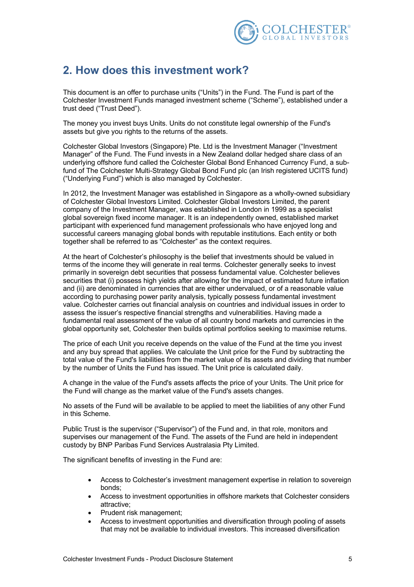

# **2. How does this investment work?**

This document is an offer to purchase units ("Units") in the Fund. The Fund is part of the Colchester Investment Funds managed investment scheme ("Scheme"), established under a trust deed ("Trust Deed").

The money you invest buys Units. Units do not constitute legal ownership of the Fund's assets but give you rights to the returns of the assets.

Colchester Global Investors (Singapore) Pte. Ltd is the Investment Manager ("Investment Manager" of the Fund. The Fund invests in a New Zealand dollar hedged share class of an underlying offshore fund called the Colchester Global Bond Enhanced Currency Fund, a subfund of The Colchester Multi-Strategy Global Bond Fund plc (an Irish registered UCITS fund) ("Underlying Fund") which is also managed by Colchester.

In 2012, the Investment Manager was established in Singapore as a wholly-owned subsidiary of Colchester Global Investors Limited. Colchester Global Investors Limited, the parent company of the Investment Manager, was established in London in 1999 as a specialist global sovereign fixed income manager. It is an independently owned, established market participant with experienced fund management professionals who have enjoyed long and successful careers managing global bonds with reputable institutions. Each entity or both together shall be referred to as "Colchester" as the context requires.

At the heart of Colchester's philosophy is the belief that investments should be valued in terms of the income they will generate in real terms. Colchester generally seeks to invest primarily in sovereign debt securities that possess fundamental value. Colchester believes securities that (i) possess high yields after allowing for the impact of estimated future inflation and (ii) are denominated in currencies that are either undervalued, or of a reasonable value according to purchasing power parity analysis, typically possess fundamental investment value. Colchester carries out financial analysis on countries and individual issues in order to assess the issuer's respective financial strengths and vulnerabilities. Having made a fundamental real assessment of the value of all country bond markets and currencies in the global opportunity set, Colchester then builds optimal portfolios seeking to maximise returns.

The price of each Unit you receive depends on the value of the Fund at the time you invest and any buy spread that applies. We calculate the Unit price for the Fund by subtracting the total value of the Fund's liabilities from the market value of its assets and dividing that number by the number of Units the Fund has issued. The Unit price is calculated daily.

A change in the value of the Fund's assets affects the price of your Units. The Unit price for the Fund will change as the market value of the Fund's assets changes.

No assets of the Fund will be available to be applied to meet the liabilities of any other Fund in this Scheme.

Public Trust is the supervisor ("Supervisor") of the Fund and, in that role, monitors and supervises our management of the Fund. The assets of the Fund are held in independent custody by BNP Paribas Fund Services Australasia Pty Limited.

The significant benefits of investing in the Fund are:

- Access to Colchester's investment management expertise in relation to sovereign bonds;
- Access to investment opportunities in offshore markets that Colchester considers attractive;
- Prudent risk management;
- Access to investment opportunities and diversification through pooling of assets that may not be available to individual investors. This increased diversification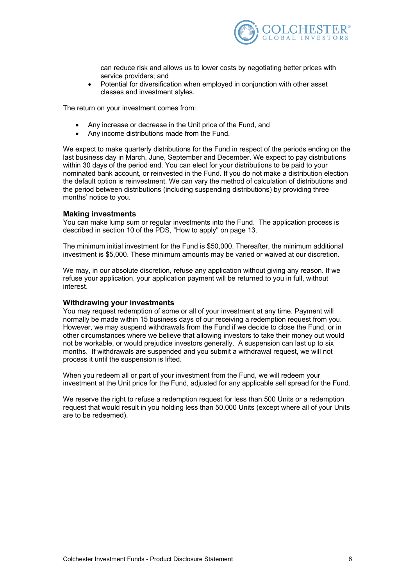

can reduce risk and allows us to lower costs by negotiating better prices with service providers; and

• Potential for diversification when employed in conjunction with other asset classes and investment styles.

The return on your investment comes from:

- Any increase or decrease in the Unit price of the Fund, and
- Any income distributions made from the Fund.

We expect to make quarterly distributions for the Fund in respect of the periods ending on the last business day in March, June, September and December. We expect to pay distributions within 30 days of the period end. You can elect for your distributions to be paid to your nominated bank account, or reinvested in the Fund. If you do not make a distribution election the default option is reinvestment. We can vary the method of calculation of distributions and the period between distributions (including suspending distributions) by providing three months' notice to you.

#### **Making investments**

You can make lump sum or regular investments into the Fund. The application process is described in section 10 of the PDS, "How to apply" on page 13.

The minimum initial investment for the Fund is \$50,000. Thereafter, the minimum additional investment is \$5,000. These minimum amounts may be varied or waived at our discretion.

We may, in our absolute discretion, refuse any application without giving any reason. If we refuse your application, your application payment will be returned to you in full, without interest.

#### **Withdrawing your investments**

You may request redemption of some or all of your investment at any time. Payment will normally be made within 15 business days of our receiving a redemption request from you. However, we may suspend withdrawals from the Fund if we decide to close the Fund, or in other circumstances where we believe that allowing investors to take their money out would not be workable, or would prejudice investors generally. A suspension can last up to six months. If withdrawals are suspended and you submit a withdrawal request, we will not process it until the suspension is lifted.

When you redeem all or part of your investment from the Fund, we will redeem your investment at the Unit price for the Fund, adjusted for any applicable sell spread for the Fund.

We reserve the right to refuse a redemption request for less than 500 Units or a redemption request that would result in you holding less than 50,000 Units (except where all of your Units are to be redeemed).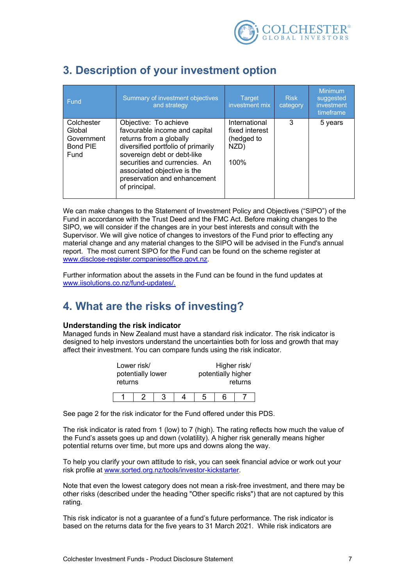

| Fund                                                          | Summary of investment objectives<br>and strategy                                                                                                                                                                                                                        | <b>Target</b><br>investment mix                               | <b>Risk</b><br>category | <b>Minimum</b><br>suggested<br>investment<br>timeframe |
|---------------------------------------------------------------|-------------------------------------------------------------------------------------------------------------------------------------------------------------------------------------------------------------------------------------------------------------------------|---------------------------------------------------------------|-------------------------|--------------------------------------------------------|
| Colchester<br>Global<br>Government<br><b>Bond PIE</b><br>Fund | Objective: To achieve<br>favourable income and capital<br>returns from a globally<br>diversified portfolio of primarily<br>sovereign debt or debt-like<br>securities and currencies. An<br>associated objective is the<br>preservation and enhancement<br>of principal. | International<br>fixed interest<br>(hedged to<br>NZD)<br>100% | 3                       | 5 years                                                |

# **3. Description of your investment option**

We can make changes to the Statement of Investment Policy and Objectives ("SIPO") of the Fund in accordance with the Trust Deed and the FMC Act. Before making changes to the SIPO, we will consider if the changes are in your best interests and consult with the Supervisor. We will give notice of changes to investors of the Fund prior to effecting any material change and any material changes to the SIPO will be advised in the Fund's annual report. The most current SIPO for the Fund can be found on the scheme register at www.disclose-register.companiesoffice.govt.nz.

Further information about the assets in the Fund can be found in the fund updates at www.iisolutions.co.nz/fund-updates/.

### **4. What are the risks of investing?**

### **Understanding the risk indicator**

Managed funds in New Zealand must have a standard risk indicator. The risk indicator is designed to help investors understand the uncertainties both for loss and growth that may affect their investment. You can compare funds using the risk indicator.

| Lower risk/<br>potentially lower<br>returns |  |  |   | Higher risk/<br>potentially higher | returns |
|---------------------------------------------|--|--|---|------------------------------------|---------|
|                                             |  |  | h | հ                                  |         |

See page 2 for the risk indicator for the Fund offered under this PDS.

The risk indicator is rated from 1 (low) to 7 (high). The rating reflects how much the value of the Fund's assets goes up and down (volatility). A higher risk generally means higher potential returns over time, but more ups and downs along the way.

To help you clarify your own attitude to risk, you can seek financial advice or work out your risk profile at www.sorted.org.nz/tools/investor-kickstarter.

Note that even the lowest category does not mean a risk-free investment, and there may be other risks (described under the heading "Other specific risks") that are not captured by this rating.

This risk indicator is not a guarantee of a fund's future performance. The risk indicator is based on the returns data for the five years to 31 March 2021. While risk indicators are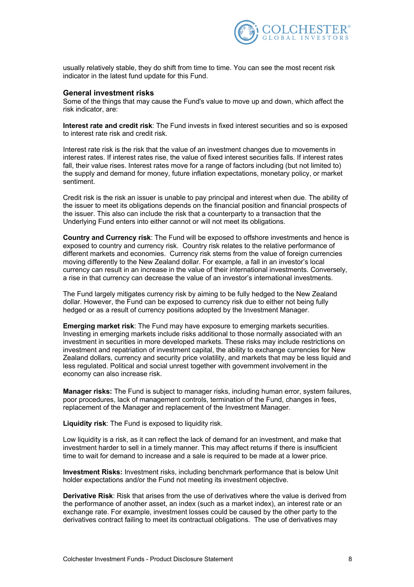

usually relatively stable, they do shift from time to time. You can see the most recent risk indicator in the latest fund update for this Fund.

#### **General investment risks**

Some of the things that may cause the Fund's value to move up and down, which affect the risk indicator, are:

**Interest rate and credit risk**: The Fund invests in fixed interest securities and so is exposed to interest rate risk and credit risk.

Interest rate risk is the risk that the value of an investment changes due to movements in interest rates. If interest rates rise, the value of fixed interest securities falls. If interest rates fall, their value rises. Interest rates move for a range of factors including (but not limited to) the supply and demand for money, future inflation expectations, monetary policy, or market sentiment.

Credit risk is the risk an issuer is unable to pay principal and interest when due. The ability of the issuer to meet its obligations depends on the financial position and financial prospects of the issuer. This also can include the risk that a counterparty to a transaction that the Underlying Fund enters into either cannot or will not meet its obligations.

**Country and Currency risk**: The Fund will be exposed to offshore investments and hence is exposed to country and currency risk. Country risk relates to the relative performance of different markets and economies. Currency risk stems from the value of foreign currencies moving differently to the New Zealand dollar. For example, a fall in an investor's local currency can result in an increase in the value of their international investments. Conversely, a rise in that currency can decrease the value of an investor's international investments.

The Fund largely mitigates currency risk by aiming to be fully hedged to the New Zealand dollar. However, the Fund can be exposed to currency risk due to either not being fully hedged or as a result of currency positions adopted by the Investment Manager.

**Emerging market risk**: The Fund may have exposure to emerging markets securities. Investing in emerging markets include risks additional to those normally associated with an investment in securities in more developed markets. These risks may include restrictions on investment and repatriation of investment capital, the ability to exchange currencies for New Zealand dollars, currency and security price volatility, and markets that may be less liquid and less regulated. Political and social unrest together with government involvement in the economy can also increase risk.

**Manager risks:** The Fund is subject to manager risks, including human error, system failures, poor procedures, lack of management controls, termination of the Fund, changes in fees, replacement of the Manager and replacement of the Investment Manager.

**Liquidity risk**: The Fund is exposed to liquidity risk.

Low liquidity is a risk, as it can reflect the lack of demand for an investment, and make that investment harder to sell in a timely manner. This may affect returns if there is insufficient time to wait for demand to increase and a sale is required to be made at a lower price.

**Investment Risks:** Investment risks, including benchmark performance that is below Unit holder expectations and/or the Fund not meeting its investment objective.

**Derivative Risk**: Risk that arises from the use of derivatives where the value is derived from the performance of another asset, an index (such as a market index), an interest rate or an exchange rate. For example, investment losses could be caused by the other party to the derivatives contract failing to meet its contractual obligations. The use of derivatives may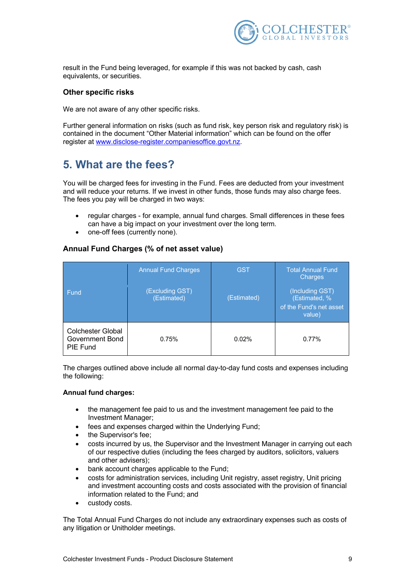

result in the Fund being leveraged, for example if this was not backed by cash, cash equivalents, or securities.

### **Other specific risks**

We are not aware of any other specific risks.

Further general information on risks (such as fund risk, key person risk and regulatory risk) is contained in the document "Other Material information" which can be found on the offer register at www.disclose-register.companiesoffice.govt.nz.

# **5. What are the fees?**

You will be charged fees for investing in the Fund. Fees are deducted from your investment and will reduce your returns. If we invest in other funds, those funds may also charge fees. The fees you pay will be charged in two ways:

- regular charges for example, annual fund charges. Small differences in these fees can have a big impact on your investment over the long term.
- one-off fees (currently none).

### **Annual Fund Charges (% of net asset value)**

| <b>Fund</b>                                                    | <b>Annual Fund Charges</b><br>(Excluding GST)<br>(Estimated) | <b>GST</b><br>(Estimated) | <b>Total Annual Fund</b><br><b>Charges</b><br>(Including GST)<br>(Estimated, %<br>of the Fund's net asset<br>value) |
|----------------------------------------------------------------|--------------------------------------------------------------|---------------------------|---------------------------------------------------------------------------------------------------------------------|
| <b>Colchester Global</b><br><b>Government Bond</b><br>PIE Fund | 0.75%                                                        | 0.02%                     | 0.77%                                                                                                               |

The charges outlined above include all normal day-to-day fund costs and expenses including the following:

### **Annual fund charges:**

- the management fee paid to us and the investment management fee paid to the Investment Manager;
- fees and expenses charged within the Underlying Fund;
- the Supervisor's fee;
- costs incurred by us, the Supervisor and the Investment Manager in carrying out each of our respective duties (including the fees charged by auditors, solicitors, valuers and other advisers);
- bank account charges applicable to the Fund;
- costs for administration services, including Unit registry, asset registry, Unit pricing and investment accounting costs and costs associated with the provision of financial information related to the Fund; and
- custody costs.

The Total Annual Fund Charges do not include any extraordinary expenses such as costs of any litigation or Unitholder meetings.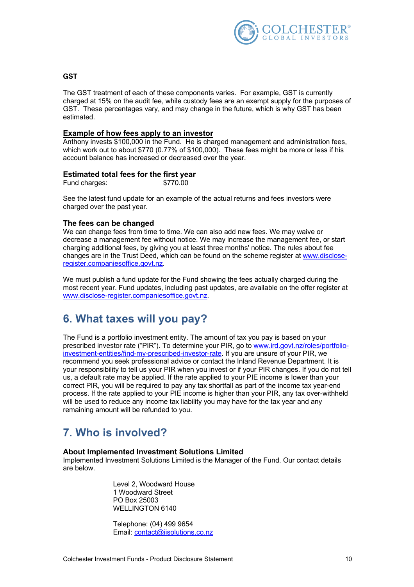

#### **GST**

The GST treatment of each of these components varies. For example, GST is currently charged at 15% on the audit fee, while custody fees are an exempt supply for the purposes of GST. These percentages vary, and may change in the future, which is why GST has been estimated.

### **Example of how fees apply to an investor**

Anthony invests \$100,000 in the Fund. He is charged management and administration fees, which work out to about \$770 (0.77% of \$100,000). These fees might be more or less if his account balance has increased or decreased over the year.

### **Estimated total fees for the first year**

Fund charges:  $$770.00$ 

See the latest fund update for an example of the actual returns and fees investors were charged over the past year.

#### **The fees can be changed**

We can change fees from time to time. We can also add new fees. We may waive or decrease a management fee without notice. We may increase the management fee, or start charging additional fees, by giving you at least three months' notice. The rules about fee changes are in the Trust Deed, which can be found on the scheme register at www.discloseregister.companiesoffice.govt.nz.

We must publish a fund update for the Fund showing the fees actually charged during the most recent year. Fund updates, including past updates, are available on the offer register at www.disclose-register.companiesoffice.govt.nz.

### **6. What taxes will you pay?**

The Fund is a portfolio investment entity. The amount of tax you pay is based on your prescribed investor rate ("PIR"). To determine your PIR, go to www.ird.govt.nz/roles/portfolioinvestment-entities/find-my-prescribed-investor-rate. If you are unsure of your PIR, we recommend you seek professional advice or contact the Inland Revenue Department. It is your responsibility to tell us your PIR when you invest or if your PIR changes. If you do not tell us, a default rate may be applied. If the rate applied to your PIE income is lower than your correct PIR, you will be required to pay any tax shortfall as part of the income tax year-end process. If the rate applied to your PIE income is higher than your PIR, any tax over-withheld will be used to reduce any income tax liability you may have for the tax year and any remaining amount will be refunded to you.

### **7. Who is involved?**

### **About Implemented Investment Solutions Limited**

Implemented Investment Solutions Limited is the Manager of the Fund. Our contact details are below.

> Level 2, Woodward House 1 Woodward Street PO Box 25003 WELLINGTON 6140

Telephone: (04) 499 9654 Email: contact@iisolutions.co.nz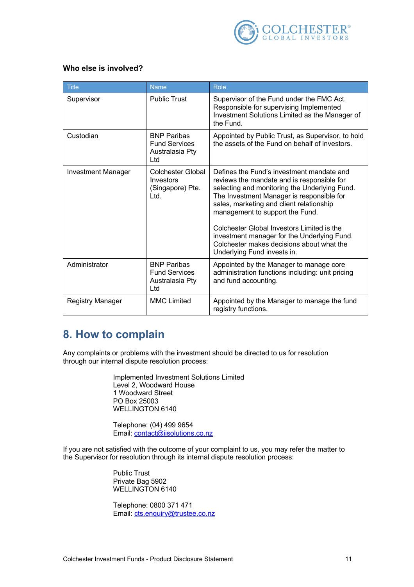

### **Who else is involved?**

| <b>Title</b>              | <b>Name</b>                                                          | Role                                                                                                                                                                                                                                                                                                                                                                                                                                          |
|---------------------------|----------------------------------------------------------------------|-----------------------------------------------------------------------------------------------------------------------------------------------------------------------------------------------------------------------------------------------------------------------------------------------------------------------------------------------------------------------------------------------------------------------------------------------|
| Supervisor                | <b>Public Trust</b>                                                  | Supervisor of the Fund under the FMC Act.<br>Responsible for supervising Implemented<br>Investment Solutions Limited as the Manager of<br>the Fund.                                                                                                                                                                                                                                                                                           |
| Custodian                 | <b>BNP Paribas</b><br><b>Fund Services</b><br>Australasia Pty<br>Ltd | Appointed by Public Trust, as Supervisor, to hold<br>the assets of the Fund on behalf of investors.                                                                                                                                                                                                                                                                                                                                           |
| <b>Investment Manager</b> | Colchester Global<br>Investors<br>(Singapore) Pte.<br>Ltd.           | Defines the Fund's investment mandate and<br>reviews the mandate and is responsible for<br>selecting and monitoring the Underlying Fund.<br>The Investment Manager is responsible for<br>sales, marketing and client relationship<br>management to support the Fund.<br>Colchester Global Investors Limited is the<br>investment manager for the Underlying Fund.<br>Colchester makes decisions about what the<br>Underlying Fund invests in. |
| Administrator             | <b>BNP Paribas</b><br><b>Fund Services</b><br>Australasia Pty<br>Ltd | Appointed by the Manager to manage core<br>administration functions including: unit pricing<br>and fund accounting.                                                                                                                                                                                                                                                                                                                           |
| Registry Manager          | <b>MMC Limited</b>                                                   | Appointed by the Manager to manage the fund<br>registry functions.                                                                                                                                                                                                                                                                                                                                                                            |

### **8. How to complain**

Any complaints or problems with the investment should be directed to us for resolution through our internal dispute resolution process:

> Implemented Investment Solutions Limited Level 2, Woodward House 1 Woodward Street PO Box 25003 WELLINGTON 6140

Telephone: (04) 499 9654 Email: contact@iisolutions.co.nz

If you are not satisfied with the outcome of your complaint to us, you may refer the matter to the Supervisor for resolution through its internal dispute resolution process:

> Public Trust Private Bag 5902 WELLINGTON 6140

Telephone: 0800 371 471 Email: cts.enquiry@trustee.co.nz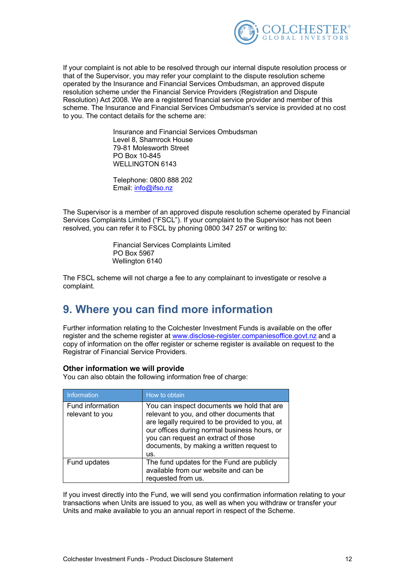

If your complaint is not able to be resolved through our internal dispute resolution process or that of the Supervisor, you may refer your complaint to the dispute resolution scheme operated by the Insurance and Financial Services Ombudsman, an approved dispute resolution scheme under the Financial Service Providers (Registration and Dispute Resolution) Act 2008. We are a registered financial service provider and member of this scheme. The Insurance and Financial Services Ombudsman's service is provided at no cost to you. The contact details for the scheme are:

> Insurance and Financial Services Ombudsman Level 8, Shamrock House 79-81 Molesworth Street PO Box 10-845 WELLINGTON 6143

Telephone: 0800 888 202 Email: info@ifso.nz

The Supervisor is a member of an approved dispute resolution scheme operated by Financial Services Complaints Limited ("FSCL"). If your complaint to the Supervisor has not been resolved, you can refer it to FSCL by phoning 0800 347 257 or writing to:

> Financial Services Complaints Limited PO Box 5967 Wellington 6140

The FSCL scheme will not charge a fee to any complainant to investigate or resolve a complaint.

### **9. Where you can find more information**

Further information relating to the Colchester Investment Funds is available on the offer register and the scheme register at www.disclose-register.companiesoffice.govt.nz and a copy of information on the offer register or scheme register is available on request to the Registrar of Financial Service Providers.

### **Other information we will provide**

You can also obtain the following information free of charge:

| Information                         | How to obtain                                                                                                                                                                                                                                                                        |
|-------------------------------------|--------------------------------------------------------------------------------------------------------------------------------------------------------------------------------------------------------------------------------------------------------------------------------------|
| Fund information<br>relevant to you | You can inspect documents we hold that are<br>relevant to you, and other documents that<br>are legally required to be provided to you, at<br>our offices during normal business hours, or<br>you can request an extract of those<br>documents, by making a written request to<br>us. |
| Fund updates                        | The fund updates for the Fund are publicly<br>available from our website and can be<br>requested from us.                                                                                                                                                                            |

If you invest directly into the Fund, we will send you confirmation information relating to your transactions when Units are issued to you, as well as when you withdraw or transfer your Units and make available to you an annual report in respect of the Scheme.